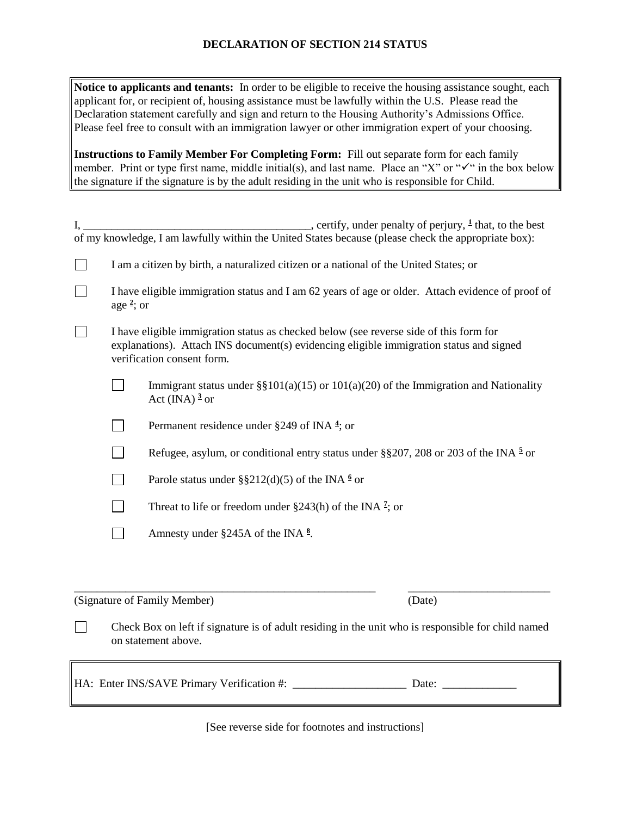## **DECLARATION OF SECTION 214 STATUS**

**Notice to applicants and tenants:** In order to be eligible to receive the housing assistance sought, each applicant for, or recipient of, housing assistance must be lawfully within the U.S. Please read the Declaration statement carefully and sign and return to the Housing Authority's Admissions Office. Please feel free to consult with an immigration lawyer or other immigration expert of your choosing.

**Instructions to Family Member For Completing Form:** Fill out separate form for each family member. Print or type first name, middle initial(s), and last name. Place an "X" or " $\checkmark$ " in the box below the signature if the signature is by the adult residing in the unit who is responsible for Child.

|                                                                                                     |                                                                                       | certify, under penalty of perjury, <sup>1</sup> that, to the best                                                                                                                                               |  |
|-----------------------------------------------------------------------------------------------------|---------------------------------------------------------------------------------------|-----------------------------------------------------------------------------------------------------------------------------------------------------------------------------------------------------------------|--|
| of my knowledge, I am lawfully within the United States because (please check the appropriate box): |                                                                                       |                                                                                                                                                                                                                 |  |
|                                                                                                     | I am a citizen by birth, a naturalized citizen or a national of the United States; or |                                                                                                                                                                                                                 |  |
|                                                                                                     |                                                                                       | I have eligible immigration status and I am 62 years of age or older. Attach evidence of proof of<br>age $\frac{2}{3}$ ; or                                                                                     |  |
|                                                                                                     |                                                                                       | I have eligible immigration status as checked below (see reverse side of this form for<br>explanations). Attach INS document(s) evidencing eligible immigration status and signed<br>verification consent form. |  |
|                                                                                                     | $\mathcal{L}$                                                                         | Immigrant status under $\S\S101(a)(15)$ or $101(a)(20)$ of the Immigration and Nationality<br>Act (INA) $3 \text{ or}$                                                                                          |  |
|                                                                                                     |                                                                                       | Permanent residence under §249 of INA $\frac{4}{3}$ ; or                                                                                                                                                        |  |
|                                                                                                     |                                                                                       | Refugee, asylum, or conditional entry status under §§207, 208 or 203 of the INA $\frac{5}{2}$ or                                                                                                                |  |
|                                                                                                     |                                                                                       | Parole status under §§212(d)(5) of the INA $\frac{6}{3}$ or                                                                                                                                                     |  |
|                                                                                                     |                                                                                       | Threat to life or freedom under $\S 243(h)$ of the INA <sup>2</sup> ; or                                                                                                                                        |  |
|                                                                                                     |                                                                                       | Amnesty under §245A of the INA $\frac{8}{3}$ .                                                                                                                                                                  |  |
|                                                                                                     |                                                                                       |                                                                                                                                                                                                                 |  |

(Signature of Family Member) (Date)

 $\Box$ 

Check Box on left if signature is of adult residing in the unit who is responsible for child named on statement above.

\_\_\_\_\_\_\_\_\_\_\_\_\_\_\_\_\_\_\_\_\_\_\_\_\_\_\_\_\_\_\_\_\_\_\_\_\_\_\_\_\_\_\_\_\_\_\_\_\_\_\_\_\_ \_\_\_\_\_\_\_\_\_\_\_\_\_\_\_\_\_\_\_\_\_\_\_\_\_

HA: Enter INS/SAVE Primary Verification #: \_\_\_\_\_\_\_\_\_\_\_\_\_\_\_\_\_\_\_\_ Date: \_\_\_\_\_\_\_\_\_\_\_\_\_

[See reverse side for footnotes and instructions]